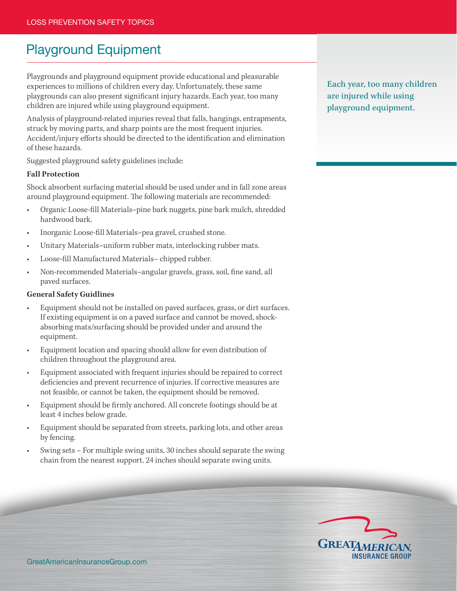# Playground Equipment

Playgrounds and playground equipment provide educational and pleasurable experiences to millions of children every day. Unfortunately, these same playgrounds can also present significant injury hazards. Each year, too many children are injured while using playground equipment.

Analysis of playground-related injuries reveal that falls, hangings, entrapments, struck by moving parts, and sharp points are the most frequent injuries. Accident/injury efforts should be directed to the identification and elimination of these hazards.

Suggested playground safety guidelines include:

## **Fall Protection**

Shock absorbent surfacing material should be used under and in fall zone areas around playground equipment. The following materials are recommended:

- Organic Loose-fill Materials–pine bark nuggets, pine bark mulch, shredded hardwood bark.
- Inorganic Loose-fill Materials–pea gravel, crushed stone.
- Unitary Materials–uniform rubber mats, interlocking rubber mats.
- Loose-fill Manufactured Materials-chipped rubber.
- Non-recommended Materials–angular gravels, grass, soil, fine sand, all paved surfaces.

#### **General Safety Guidlines**

- Equipment should not be installed on paved surfaces, grass, or dirt surfaces. If existing equipment is on a paved surface and cannot be moved, shockabsorbing mats/surfacing should be provided under and around the equipment.
- Equipment location and spacing should allow for even distribution of children throughout the playground area.
- Equipment associated with frequent injuries should be repaired to correct deficiencies and prevent recurrence of injuries. If corrective measures are not feasible, or cannot be taken, the equipment should be removed.
- Equipment should be firmly anchored. All concrete footings should be at least 4 inches below grade.
- Equipment should be separated from streets, parking lots, and other areas by fencing.
- Swing sets For multiple swing units, 30 inches should separate the swing chain from the nearest support. 24 inches should separate swing units.

Each year, too many children are injured while using playground equipment.

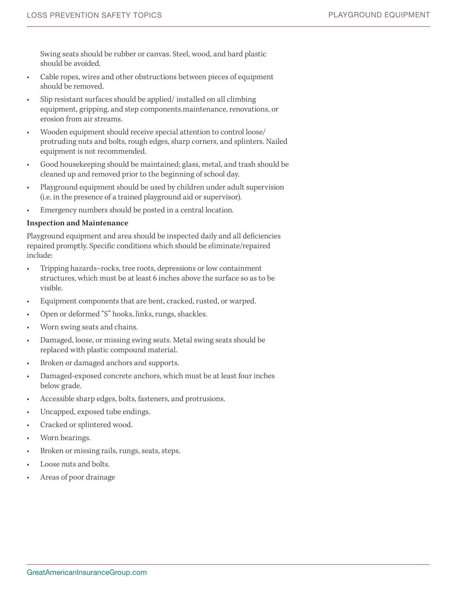Swing seats should be rubber or canvas. Steel, wood, and hard plastic should be avoided.

- Cable ropes, wires and other obstructions between pieces of equipment should be removed.
- Slip resistant surfaces should be applied/ installed on all climbing equipment, gripping, and step components.maintenance, renovations, or erosion from air streams.
- Wooden equipment should receive special attention to control loose/ protruding nuts and bolts, rough edges, sharp corners, and splinters. Nailed equipment is not recommended.
- Good housekeeping should be maintained; glass, metal, and trash should be cleaned up and removed prior to the beginning of school day.
- Playground equipment should be used by children under adult supervision (i.e. in the presence of a trained playground aid or supervisor).
- Emergency numbers should be posted in a central location.

### **Inspection and Maintenance**

Playground equipment and area should be inspected daily and all deficiencies repaired promptly. Specific conditions which should be eliminate/repaired include:

- Tripping hazards–rocks, tree roots, depressions or low containment structures, which must be at least 6 inches above the surface so as to be visible.
- Equipment components that are bent, cracked, rusted, or warped.
- Open or deformed "S" hooks, links, rungs, shackles.
- Worn swing seats and chains.
- Damaged, loose, or missing swing seats. Metal swing seats should be replaced with plastic compound material.
- Broken or damaged anchors and supports.
- Damaged-exposed concrete anchors, which must be at least four inches below grade.
- Accessible sharp edges, bolts, fasteners, and protrusions.
- Uncapped, exposed tube endings.
- Cracked or splintered wood.
- Worn bearings.
- Broken or missing rails, rungs, seats, steps.
- Loose nuts and bolts.
- Areas of poor drainage